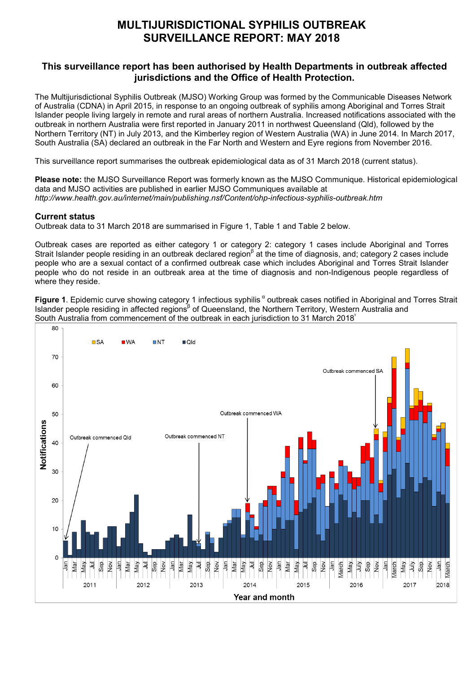# **MULTIJURISDICTIONAL SYPHILIS OUTBREAK SURVEILLANCE REPORT: MAY 2018**

## **This surveillance report has been authorised by Health Departments in outbreak affected jurisdictions and the Office of Health Protection.**

The Multijurisdictional Syphilis Outbreak (MJSO) Working Group was formed by the Communicable Diseases Network of Australia (CDNA) in April 2015, in response to an ongoing outbreak of syphilis among Aboriginal and Torres Strait Islander people living largely in remote and rural areas of northern Australia. Increased notifications associated with the outbreak in northern Australia were first reported in January 2011 in northwest Queensland (Qld), followed by the Northern Territory (NT) in July 2013, and the Kimberley region of Western Australia (WA) in June 2014. In March 2017, South Australia (SA) declared an outbreak in the Far North and Western and Eyre regions from November 2016.

This surveillance report summarises the outbreak epidemiological data as of 31 March 2018 (current status).

**Please note:** the MJSO Surveillance Report was formerly known as the MJSO Communique. Historical epidemiological data and MJSO activities are published in earlier MJSO Communiques available at *http://www.health.gov.au/internet/main/publishing.nsf/Content/ohp-infectious-syphilis-outbreak.htm*

### **Current status**

Outbreak data to 31 March 2018 are summarised in Figure 1, Table 1 and Table 2 below.

Outbreak cases are reported as either category 1 or category 2: category 1 cases include Aboriginal and Torres Strait Islander people residing in an outbreak declared region<sup>β</sup> at the time of diagnosis, and; category 2 cases include people who are a sexual contact of a confirmed outbreak case which includes Aboriginal and Torres Strait Islander people who do not reside in an outbreak area at the time of diagnosis and non-Indigenous people regardless of where they reside.

**Figure 1**. Epidemic curve showing category 1 infectious syphilis<sup>a</sup> outbreak cases notified in Aboriginal and Torres Strait Islander people residing in affected regions<sup>β</sup> of Queensland, the Northern Territory, Western Australia and South Australia from commencement of the outbreak in each jurisdiction to 31 March 2018<sup> $\dot{\ }$ </sup>

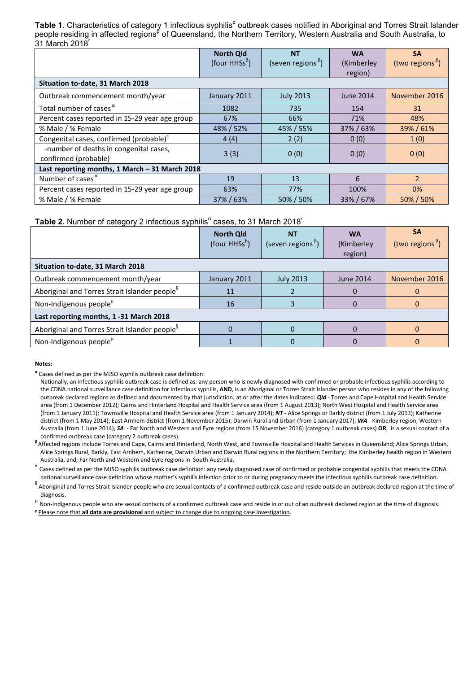Table 1. Characteristics of category 1 infectious syphilis<sup>a</sup> outbreak cases notified in Aboriginal and Torres Strait Islander people residing in affected regions<sup>β</sup> of Queensland, the Northern Territory, Western Australia and South Australia, to 31 March 2018

|                                                                | <b>North Qld</b><br>(four HHSs <sup><math>\beta</math></sup> ) | <b>NT</b><br>(seven regions <sup>b</sup> ) | <b>WA</b><br>(Kimberley<br>region) | <b>SA</b><br>(two regions <sup><math>\beta</math></sup> ) |  |
|----------------------------------------------------------------|----------------------------------------------------------------|--------------------------------------------|------------------------------------|-----------------------------------------------------------|--|
| Situation to-date, 31 March 2018                               |                                                                |                                            |                                    |                                                           |  |
| Outbreak commencement month/year                               | January 2011                                                   | <b>July 2013</b>                           | June 2014                          | November 2016                                             |  |
| Total number of cases $\alpha$                                 | 1082                                                           | 735                                        | 154                                | 31                                                        |  |
| Percent cases reported in 15-29 year age group                 | 67%                                                            | 66%                                        | 71%                                | 48%                                                       |  |
| % Male / % Female                                              | 48% / 52%                                                      | 45% / 55%                                  | 37% / 63%                          | 39%/61%                                                   |  |
| Congenital cases, confirmed (probable)"                        | 4(4)                                                           | 2(2)                                       | 0(0)                               | 1(0)                                                      |  |
| -number of deaths in congenital cases,<br>confirmed (probable) | 3(3)                                                           | 0(0)                                       | 0(0)                               | 0(0)                                                      |  |
| Last reporting months, 1 March - 31 March 2018                 |                                                                |                                            |                                    |                                                           |  |
| Number of cases $\alpha$                                       | 19                                                             | 13                                         | 6                                  | $\overline{2}$                                            |  |
| Percent cases reported in 15-29 year age group                 | 63%                                                            | 77%                                        | 100%                               | $0\%$                                                     |  |
| % Male / % Female                                              | 37% / 63%                                                      | 50% / 50%                                  | 33%/67%                            | 50% / 50%                                                 |  |

### **Table 2.** Number of category 2 infectious syphilis<sup>a</sup> cases, to 31 March 2018<sup>'</sup>

|                                                           | <b>North Qld</b><br>(four HHSs <sup><math>\beta</math></sup> ) | <b>NT</b><br>(seven regions <sup><math>\beta</math></sup> ) | <b>WA</b><br>(Kimberley<br>region) | <b>SA</b><br>(two regions <sup>b</sup> ) |
|-----------------------------------------------------------|----------------------------------------------------------------|-------------------------------------------------------------|------------------------------------|------------------------------------------|
| Situation to-date, 31 March 2018                          |                                                                |                                                             |                                    |                                          |
| Outbreak commencement month/year                          | January 2011                                                   | <b>July 2013</b>                                            | <b>June 2014</b>                   | November 2016                            |
| Aboriginal and Torres Strait Islander people <sup>8</sup> | 11                                                             |                                                             |                                    |                                          |
| Non-Indigenous people <sup>µ</sup>                        | 16                                                             |                                                             |                                    |                                          |
| Last reporting months, 1 -31 March 2018                   |                                                                |                                                             |                                    |                                          |
| Aboriginal and Torres Strait Islander people <sup>8</sup> |                                                                |                                                             |                                    |                                          |
| Non-Indigenous people <sup>µ</sup>                        |                                                                |                                                             |                                    |                                          |

#### **Notes:**

**<sup>α</sup>** Cases defined as per the MJSO syphilis outbreak case definition:

Affected regions include Torres and Cape, Cairns and Hinterland, North West, and Townsville Hospital and Health Services in Queensland; Alice Springs Urban, Alice Springs Rural, Barkly, East Arnhem, Katherine, Darwin Urban and Darwin Rural regions in the Northern Territory; the Kimberley health region in Western

Australia, and; Far North and Western and Eyre regions in South Australia.<br>A Cases defined as per the MJSO syphilis outbreak case definition: any newly diagnosed case of confirmed or probable congenital syphilis that meets national surveillance case definition whose mother's syphilis infection prior to or during pregnancy meets the infectious syphilis outbreak case definition.

§ Aboriginal and Torres Strait Islander people who are sexual contacts of a confirmed outbreak case and reside outside an outbreak declared region at the time of

diagnosis.<br><sup>µ</sup> Non-Indigenous people who are sexual contacts of a confirmed outbreak case and reside in or out of an outbreak declared region at the time of diagnosis. **ᵞ** Please note that **all data are provisional** and subject to change due to ongoing case investigation.

Nationally, an infectious syphilis outbreak case is defined as: any person who is newly diagnosed with confirmed or probable infectious syphilis according to the CDNA national surveillance case definition for infectious syphilis, **AND**, is an Aboriginal or Torres Strait Islander person who resides in any of the following outbreak declared regions as defined and documented by that jurisdiction, at or after the dates indicated: *Qld* - Torres and Cape Hospital and Health Service area (from 1 December 2012); Cairns and Hinterland Hospital and Health Service area (from 1 August 2013); North West Hospital and Health Service area (from 1 January 2011); Townsville Hospital and Health Service area (from 1 January 2014); *NT* - Alice Springs or Barkly district (from 1 July 2013); Katherine district (from 1 May 2014); East Arnhem district (from 1 November 2015); Darwin Rural and Urban (from 1 January 2017); *WA* - Kimberley region, Western Australia (from 1 June 2014), *SA* - Far North and Western and Eyre regions (from 15 November 2016) (category 1 outbreak cases) **OR**, is a sexual contact of a confirmed outbreak case (category 2 outbreak cases). **<sup>β</sup>**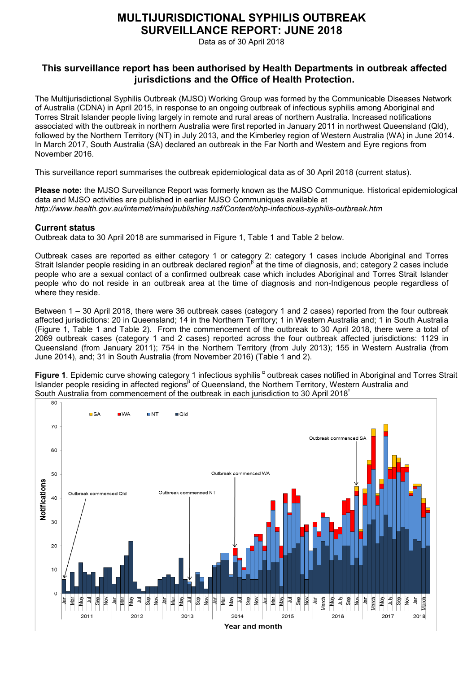# **MULTIJURISDICTIONAL SYPHILIS OUTBREAK SURVEILLANCE REPORT: JUNE 2018**

Data as of 30 April 2018

## **This surveillance report has been authorised by Health Departments in outbreak affected jurisdictions and the Office of Health Protection.**

The Multijurisdictional Syphilis Outbreak (MJSO) Working Group was formed by the Communicable Diseases Network of Australia (CDNA) in April 2015, in response to an ongoing outbreak of infectious syphilis among Aboriginal and Torres Strait Islander people living largely in remote and rural areas of northern Australia. Increased notifications associated with the outbreak in northern Australia were first reported in January 2011 in northwest Queensland (Qld), followed by the Northern Territory (NT) in July 2013, and the Kimberley region of Western Australia (WA) in June 2014. In March 2017, South Australia (SA) declared an outbreak in the Far North and Western and Eyre regions from November 2016.

This surveillance report summarises the outbreak epidemiological data as of 30 April 2018 (current status).

**Please note:** the MJSO Surveillance Report was formerly known as the MJSO Communique. Historical epidemiological data and MJSO activities are published in earlier MJSO Communiques available at *http://www.health.gov.au/internet/main/publishing.nsf/Content/ohp-infectious-syphilis-outbreak.htm*

### **Current status**

Outbreak data to 30 April 2018 are summarised in Figure 1, Table 1 and Table 2 below.

Outbreak cases are reported as either category 1 or category 2: category 1 cases include Aboriginal and Torres Strait Islander people residing in an outbreak declared region<sup>β</sup> at the time of diagnosis, and; category 2 cases include people who are a sexual contact of a confirmed outbreak case which includes Aboriginal and Torres Strait Islander people who do not reside in an outbreak area at the time of diagnosis and non-Indigenous people regardless of where they reside.

Between 1 – 30 April 2018, there were 36 outbreak cases (category 1 and 2 cases) reported from the four outbreak affected jurisdictions: 20 in Queensland; 14 in the Northern Territory; 1 in Western Australia and; 1 in South Australia (Figure 1, Table 1 and Table 2). From the commencement of the outbreak to 30 April 2018, there were a total of 2069 outbreak cases (category 1 and 2 cases) reported across the four outbreak affected jurisdictions: 1129 in Queensland (from January 2011); 754 in the Northern Territory (from July 2013); 155 in Western Australia (from June 2014), and; 31 in South Australia (from November 2016) (Table 1 and 2).

**Figure 1**. Epidemic curve showing category 1 infectious syphilis <sup>α</sup> outbreak cases notified in Aboriginal and Torres Strait Islander people residing in affected regions<sup>β</sup> of Queensland, the Northern Territory, Western Australia and South Australia from commencement of the outbreak in each jurisdiction to 30 April 2018

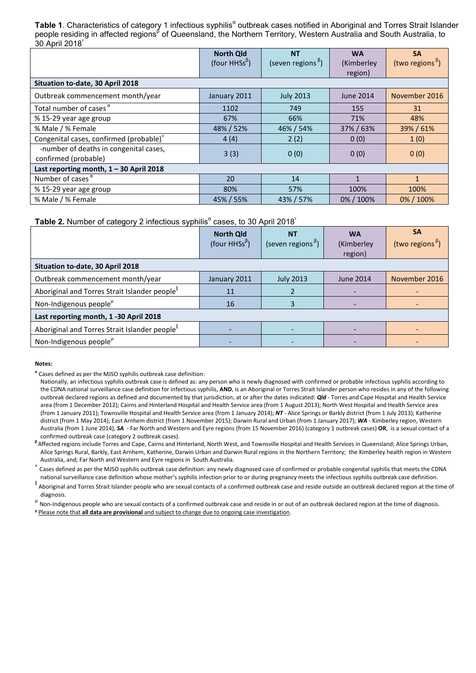Table 1. Characteristics of category 1 infectious syphilis<sup>a</sup> outbreak cases notified in Aboriginal and Torres Strait Islander people residing in affected regions<sup>β</sup> of Queensland, the Northern Territory, Western Australia and South Australia, to 30 April 2018<sup>ᵞ</sup>

|                                                                | <b>North Qld</b><br>(four HHSs <sup><math>\beta</math></sup> ) | <b>NT</b><br>(seven regions <sup><math>\beta</math></sup> ) | <b>WA</b><br>(Kimberley<br>region) | <b>SA</b><br>(two regions <sup><math>\beta</math></sup> ) |  |
|----------------------------------------------------------------|----------------------------------------------------------------|-------------------------------------------------------------|------------------------------------|-----------------------------------------------------------|--|
| Situation to-date, 30 April 2018                               |                                                                |                                                             |                                    |                                                           |  |
| Outbreak commencement month/year                               | January 2011                                                   | <b>July 2013</b>                                            | <b>June 2014</b>                   | November 2016                                             |  |
| Total number of cases $\alpha$                                 | 1102                                                           | 749                                                         | 155                                | 31                                                        |  |
| % 15-29 year age group                                         | 67%                                                            | 66%                                                         | 71%                                | 48%                                                       |  |
| % Male / % Female                                              | 48% / 52%                                                      | 46% / 54%                                                   | 37% / 63%                          | 39%/61%                                                   |  |
| Congenital cases, confirmed (probable)"                        | 4(4)                                                           | 2(2)                                                        | 0(0)                               | 1(0)                                                      |  |
| -number of deaths in congenital cases,<br>confirmed (probable) | 3(3)                                                           | 0(0)                                                        | 0(0)                               | 0(0)                                                      |  |
| Last reporting month, $1 - 30$ April 2018                      |                                                                |                                                             |                                    |                                                           |  |
| Number of cases $\alpha$                                       | 20                                                             | 14                                                          | $\mathbf{1}$                       | $\mathbf{1}$                                              |  |
| % 15-29 year age group                                         | 80%                                                            | 57%                                                         | 100%                               | 100%                                                      |  |
| % Male / % Female                                              | 45% / 55%                                                      | 43% / 57%                                                   | 0% / 100%                          | 0% / 100%                                                 |  |

#### **Table 2.** Number of category 2 infectious syphilis<sup>a</sup> cases, to 30 April 2018<sup>'</sup>

|                                                           | <b>North Qld</b><br>(four HHSs <sup><math>\beta</math></sup> ) | <b>NT</b><br>(seven regions <sup><math>\beta</math></sup> ) | <b>WA</b><br>(Kimberley<br>region) | <b>SA</b><br>(two regions <sup><math>\beta</math></sup> ) |
|-----------------------------------------------------------|----------------------------------------------------------------|-------------------------------------------------------------|------------------------------------|-----------------------------------------------------------|
| Situation to-date, 30 April 2018                          |                                                                |                                                             |                                    |                                                           |
| Outbreak commencement month/year                          | January 2011                                                   | <b>July 2013</b>                                            | <b>June 2014</b>                   | November 2016                                             |
| Aboriginal and Torres Strait Islander people <sup>8</sup> | 11                                                             |                                                             |                                    |                                                           |
| Non-Indigenous people <sup>µ</sup>                        | 16                                                             |                                                             |                                    |                                                           |
| Last reporting month, 1 -30 April 2018                    |                                                                |                                                             |                                    |                                                           |
| Aboriginal and Torres Strait Islander people <sup>8</sup> |                                                                |                                                             |                                    |                                                           |
| Non-Indigenous people <sup>µ</sup>                        |                                                                |                                                             |                                    |                                                           |

#### **Notes:**

**<sup>α</sup>** Cases defined as per the MJSO syphilis outbreak case definition:

Affected regions include Torres and Cape, Cairns and Hinterland, North West, and Townsville Hospital and Health Services in Queensland; Alice Springs Urban, Alice Springs Rural, Barkly, East Arnhem, Katherine, Darwin Urban and Darwin Rural regions in the Northern Territory; the Kimberley health region in Western

Australia, and; Far North and Western and Eyre regions in South Australia.<br>A Cases defined as per the MJSO syphilis outbreak case definition: any newly diagnosed case of confirmed or probable congenital syphilis that meets national surveillance case definition whose mother's syphilis infection prior to or during pregnancy meets the infectious syphilis outbreak case definition.

§ Aboriginal and Torres Strait Islander people who are sexual contacts of a confirmed outbreak case and reside outside an outbreak declared region at the time of

diagnosis.<br><sup>µ</sup> Non-Indigenous people who are sexual contacts of a confirmed outbreak case and reside in or out of an outbreak declared region at the time of diagnosis. **ᵞ** Please note that **all data are provisional** and subject to change due to ongoing case investigation.

Nationally, an infectious syphilis outbreak case is defined as: any person who is newly diagnosed with confirmed or probable infectious syphilis according to the CDNA national surveillance case definition for infectious syphilis, **AND**, is an Aboriginal or Torres Strait Islander person who resides in any of the following outbreak declared regions as defined and documented by that jurisdiction, at or after the dates indicated: *Qld* - Torres and Cape Hospital and Health Service area (from 1 December 2012); Cairns and Hinterland Hospital and Health Service area (from 1 August 2013); North West Hospital and Health Service area (from 1 January 2011); Townsville Hospital and Health Service area (from 1 January 2014); *NT* - Alice Springs or Barkly district (from 1 July 2013); Katherine district (from 1 May 2014); East Arnhem district (from 1 November 2015); Darwin Rural and Urban (from 1 January 2017); *WA* - Kimberley region, Western Australia (from 1 June 2014), *SA* - Far North and Western and Eyre regions (from 15 November 2016) (category 1 outbreak cases) **OR**, is a sexual contact of a confirmed outbreak case (category 2 outbreak cases). **<sup>β</sup>**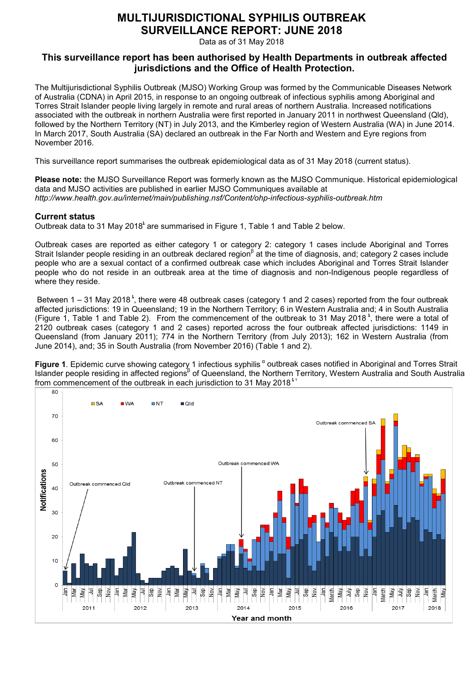# **MULTIJURISDICTIONAL SYPHILIS OUTBREAK SURVEILLANCE REPORT: JUNE 2018**

Data as of 31 May 2018

## **This surveillance report has been authorised by Health Departments in outbreak affected jurisdictions and the Office of Health Protection.**

The Multijurisdictional Syphilis Outbreak (MJSO) Working Group was formed by the Communicable Diseases Network of Australia (CDNA) in April 2015, in response to an ongoing outbreak of infectious syphilis among Aboriginal and Torres Strait Islander people living largely in remote and rural areas of northern Australia. Increased notifications associated with the outbreak in northern Australia were first reported in January 2011 in northwest Queensland (Qld), followed by the Northern Territory (NT) in July 2013, and the Kimberley region of Western Australia (WA) in June 2014. In March 2017, South Australia (SA) declared an outbreak in the Far North and Western and Eyre regions from November 2016.

This surveillance report summarises the outbreak epidemiological data as of 31 May 2018 (current status).

**Please note:** the MJSO Surveillance Report was formerly known as the MJSO Communique. Historical epidemiological data and MJSO activities are published in earlier MJSO Communiques available at *http://www.health.gov.au/internet/main/publishing.nsf/Content/ohp-infectious-syphilis-outbreak.htm*

### **Current status**

Outbreak data to 31 May 2018<sup>t</sup> are summarised in Figure 1. Table 1 and Table 2 below.

Outbreak cases are reported as either category 1 or category 2: category 1 cases include Aboriginal and Torres Strait Islander people residing in an outbreak declared region<sup>β</sup> at the time of diagnosis, and; category 2 cases include people who are a sexual contact of a confirmed outbreak case which includes Aboriginal and Torres Strait Islander people who do not reside in an outbreak area at the time of diagnosis and non-Indigenous people regardless of where they reside.

Between  $1 - 31$  May 2018<sup>t</sup>, there were 48 outbreak cases (category 1 and 2 cases) reported from the four outbreak affected jurisdictions: 19 in Queensland; 19 in the Northern Territory; 6 in Western Australia and; 4 in South Australia (Figure 1, Table 1 and Table 2). From the commencement of the outbreak to 31 May 2018<sup>t</sup>, there were a total of 2120 outbreak cases (category 1 and 2 cases) reported across the four outbreak affected jurisdictions: 1149 in Queensland (from January 2011); 774 in the Northern Territory (from July 2013); 162 in Western Australia (from June 2014), and; 35 in South Australia (from November 2016) (Table 1 and 2).

**Figure 1**. Epidemic curve showing category 1 infectious syphilis <sup>α</sup> outbreak cases notified in Aboriginal and Torres Strait Islander people residing in affected regions<sup>β</sup> of Queensland, the Northern Territory, Western Australia and South Australia from commencement of the outbreak in each jurisdiction to 31 May 2018 $^{\star}$ 

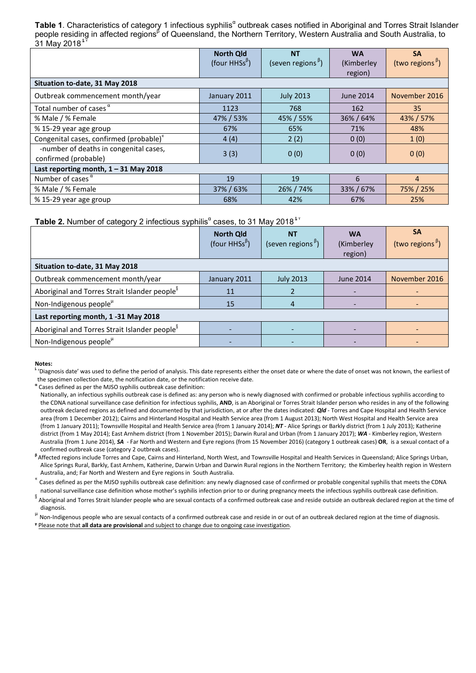**Table 1.** Characteristics of category 1 infectious syphilis<sup>a</sup> outbreak cases notified in Aboriginal and Torres Strait Islander people residing in affected regions<sup>β</sup> of Queensland, the Northern Territory, Western Australia and South Australia, to 31 May 2018 $^{\frac{1}{3}}$ 

|                                                                | <b>North Qld</b><br>(four HHSs <sup><math>\beta</math></sup> ) | <b>NT</b><br>(seven regions <sup><math>\beta</math></sup> ) | <b>WA</b><br>(Kimberley<br>region) | <b>SA</b><br>(two regions <sup><math>\beta</math></sup> ) |
|----------------------------------------------------------------|----------------------------------------------------------------|-------------------------------------------------------------|------------------------------------|-----------------------------------------------------------|
| Situation to-date, 31 May 2018                                 |                                                                |                                                             |                                    |                                                           |
| Outbreak commencement month/year                               | January 2011                                                   | <b>July 2013</b>                                            | <b>June 2014</b>                   | November 2016                                             |
| Total number of cases $^{\alpha}$                              | 1123                                                           | 768                                                         | 162                                | 35                                                        |
| % Male / % Female                                              | 47% / 53%                                                      | 45% / 55%                                                   | 36% / 64%                          | 43% / 57%                                                 |
| % 15-29 year age group                                         | 67%                                                            | 65%                                                         | 71%                                | 48%                                                       |
| Congenital cases, confirmed (probable)"                        | 4(4)                                                           | 2(2)                                                        | 0(0)                               | 1(0)                                                      |
| -number of deaths in congenital cases,<br>confirmed (probable) | 3(3)                                                           | 0(0)                                                        | 0(0)                               | 0(0)                                                      |
| Last reporting month, $1 - 31$ May 2018                        |                                                                |                                                             |                                    |                                                           |
| Number of cases $\alpha$                                       | 19                                                             | 19                                                          | 6                                  | 4                                                         |
| % Male / % Female                                              | 37% / 63%                                                      | 26% / 74%                                                   | 33% / 67%                          | 75% / 25%                                                 |
| % 15-29 year age group                                         | 68%                                                            | 42%                                                         | 67%                                | 25%                                                       |

#### **Table 2.** Number of category 2 infectious syphilis<sup>a</sup> cases, to 31 May 2018<sup>ky</sup>

|                                                           | <b>North Qld</b><br>(four HHSs <sup><math>\beta</math></sup> ) | <b>NT</b><br>(seven regions <sup><math>\beta</math></sup> ) | <b>WA</b><br>(Kimberley<br>region) | <b>SA</b><br>(two regions <sup><math>\beta</math></sup> ) |
|-----------------------------------------------------------|----------------------------------------------------------------|-------------------------------------------------------------|------------------------------------|-----------------------------------------------------------|
| Situation to-date, 31 May 2018                            |                                                                |                                                             |                                    |                                                           |
| Outbreak commencement month/year                          | January 2011                                                   | <b>July 2013</b>                                            | <b>June 2014</b>                   | November 2016                                             |
| Aboriginal and Torres Strait Islander people <sup>8</sup> | 11                                                             |                                                             |                                    |                                                           |
| Non-Indigenous people <sup>µ</sup>                        | 15                                                             |                                                             |                                    |                                                           |
| Last reporting month, 1-31 May 2018                       |                                                                |                                                             |                                    |                                                           |
| Aboriginal and Torres Strait Islander people <sup>8</sup> |                                                                |                                                             |                                    |                                                           |
| Non-Indigenous people <sup>µ</sup>                        |                                                                |                                                             |                                    |                                                           |

#### **Notes:**

 $^{\sharp}$  'Diagnosis date' was used to define the period of analysis. This date represents either the onset date or where the date of onset was not known, the earliest of the specimen collection date, the notification date, or the notification receive date.

**<sup>α</sup>** Cases defined as per the MJSO syphilis outbreak case definition:

Nationally, an infectious syphilis outbreak case is defined as: any person who is newly diagnosed with confirmed or probable infectious syphilis according to the CDNA national surveillance case definition for infectious syphilis, **AND**, is an Aboriginal or Torres Strait Islander person who resides in any of the following outbreak declared regions as defined and documented by that jurisdiction, at or after the dates indicated: *Qld* - Torres and Cape Hospital and Health Service area (from 1 December 2012); Cairns and Hinterland Hospital and Health Service area (from 1 August 2013); North West Hospital and Health Service area (from 1 January 2011); Townsville Hospital and Health Service area (from 1 January 2014); *NT* - Alice Springs or Barkly district (from 1 July 2013); Katherine district (from 1 May 2014); East Arnhem district (from 1 November 2015); Darwin Rural and Urban (from 1 January 2017); *WA* - Kimberley region, Western Australia (from 1 June 2014), *SA* - Far North and Western and Eyre regions (from 15 November 2016) (category 1 outbreak cases) **OR**, is a sexual contact of a

confirmed outbreak case (category 2 outbreak cases).<br><sup>β</sup> Affected regions include Torres and Cape, Cairns and Hinterland, North West, and Townsville Hospital and Health Services in Queensland; Alice Springs Urban, Alice Springs Rural, Barkly, East Arnhem, Katherine, Darwin Urban and Darwin Rural regions in the Northern Territory; the Kimberley health region in Western

Australia, and; Far North and Western and Eyre regions in South Australia.<br>Cases defined as per the MJSO syphilis outbreak case definition: any newly diagnosed case of confirmed or probable congenital syphilis that meets t national surveillance case definition whose mother's syphilis infection prior to or during pregnancy meets the infectious syphilis outbreak case definition.

§ Aboriginal and Torres Strait Islander people who are sexual contacts of a confirmed outbreak case and reside outside an outbreak declared region at the time of

diagnosis.<br><sup>µ</sup> Non-Indigenous people who are sexual contacts of a confirmed outbreak case and reside in or out of an outbreak declared region at the time of diagnosis.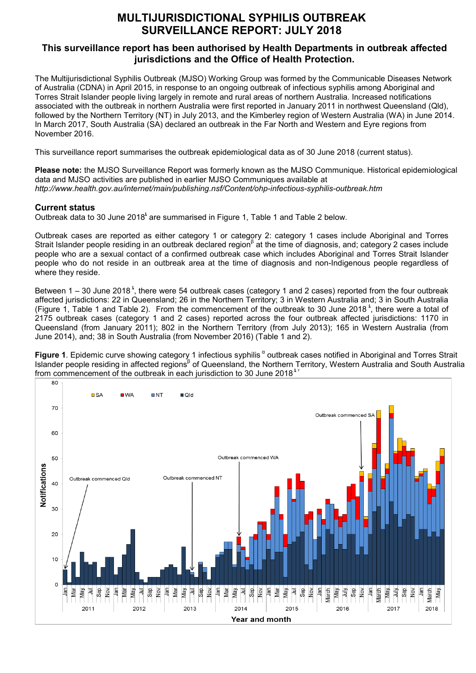# **MULTIJURISDICTIONAL SYPHILIS OUTBREAK SURVEILLANCE REPORT: JULY 2018**

### **This surveillance report has been authorised by Health Departments in outbreak affected jurisdictions and the Office of Health Protection.**

The Multijurisdictional Syphilis Outbreak (MJSO) Working Group was formed by the Communicable Diseases Network of Australia (CDNA) in April 2015, in response to an ongoing outbreak of infectious syphilis among Aboriginal and Torres Strait Islander people living largely in remote and rural areas of northern Australia. Increased notifications associated with the outbreak in northern Australia were first reported in January 2011 in northwest Queensland (Qld), followed by the Northern Territory (NT) in July 2013, and the Kimberley region of Western Australia (WA) in June 2014. In March 2017, South Australia (SA) declared an outbreak in the Far North and Western and Eyre regions from November 2016.

This surveillance report summarises the outbreak epidemiological data as of 30 June 2018 (current status).

**Please note:** the MJSO Surveillance Report was formerly known as the MJSO Communique. Historical epidemiological data and MJSO activities are published in earlier MJSO Communiques available at *http://www.health.gov.au/internet/main/publishing.nsf/Content/ohp-infectious-syphilis-outbreak.htm*

### **Current status**

Outbreak data to 30 June  $2018<sup>3</sup>$  are summarised in Figure 1, Table 1 and Table 2 below.

Outbreak cases are reported as either category 1 or category 2: category 1 cases include Aboriginal and Torres Strait Islander people residing in an outbreak declared region<sup>β</sup> at the time of diagnosis, and; category 2 cases include people who are a sexual contact of a confirmed outbreak case which includes Aboriginal and Torres Strait Islander people who do not reside in an outbreak area at the time of diagnosis and non-Indigenous people regardless of where they reside.

Between 1 – 30 June 2018<sup>\*</sup>, there were 54 outbreak cases (category 1 and 2 cases) reported from the four outbreak affected jurisdictions: 22 in Queensland; 26 in the Northern Territory; 3 in Western Australia and; 3 in South Australia (Figure 1, Table 1 and Table 2). From the commencement of the outbreak to 30 June 2018<sup>t</sup>, there were a total of 2175 outbreak cases (category 1 and 2 cases) reported across the four outbreak affected jurisdictions: 1170 in Queensland (from January 2011); 802 in the Northern Territory (from July 2013); 165 in Western Australia (from June 2014), and; 38 in South Australia (from November 2016) (Table 1 and 2).

Figure 1. Epidemic curve showing category 1 infectious syphilis<sup>a</sup> outbreak cases notified in Aboriginal and Torres Strait Islander people residing in affected regions<sup>β</sup> of Queensland, the Northern Territory, Western Australia and South Australia from commencement of the outbreak in each jurisdiction to 30 June 2018<sup> $^{\frac{1}{2}}$ </sup>

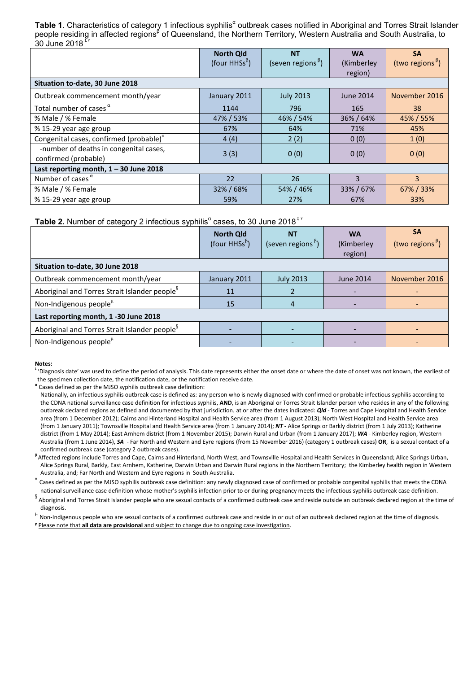**Table 1.** Characteristics of category 1 infectious syphilis<sup>a</sup> outbreak cases notified in Aboriginal and Torres Strait Islander people residing in affected regions<sup>β</sup> of Queensland, the Northern Territory, Western Australia and South Australia, to  $30 \text{ June } 2018$ 

|                                                                | <b>North Qld</b><br>(four HHSs <sup><math>\beta</math></sup> ) | <b>NT</b><br>(seven regions <sup><math>\beta</math></sup> ) | <b>WA</b><br>(Kimberley<br>region) | <b>SA</b><br>(two regions <sup>b</sup> ) |
|----------------------------------------------------------------|----------------------------------------------------------------|-------------------------------------------------------------|------------------------------------|------------------------------------------|
| Situation to-date, 30 June 2018                                |                                                                |                                                             |                                    |                                          |
| Outbreak commencement month/year                               | January 2011                                                   | <b>July 2013</b>                                            | <b>June 2014</b>                   | November 2016                            |
| Total number of cases $\alpha$                                 | 1144                                                           | 796                                                         | 165                                | 38                                       |
| % Male / % Female                                              | 47% / 53%                                                      | 46% / 54%                                                   | 36% / 64%                          | 45% / 55%                                |
| % 15-29 year age group                                         | 67%                                                            | 64%                                                         | 71%                                | 45%                                      |
| Congenital cases, confirmed (probable)"                        | 4(4)                                                           | 2(2)                                                        | 0(0)                               | 1(0)                                     |
| -number of deaths in congenital cases,<br>confirmed (probable) | 3(3)                                                           | 0(0)                                                        | 0(0)                               | 0(0)                                     |
| Last reporting month, $1 - 30$ June 2018                       |                                                                |                                                             |                                    |                                          |
| Number of cases $\alpha$                                       | 22                                                             | 26                                                          | 3                                  | $\overline{3}$                           |
| % Male / % Female                                              | 32% / 68%                                                      | 54% / 46%                                                   | 33% / 67%                          | 67% / 33%                                |
| % 15-29 year age group                                         | 59%                                                            | 27%                                                         | 67%                                | 33%                                      |

### **Table 2.** Number of category 2 infectious syphilis<sup>a</sup> cases, to 30 June 2018<sup>k</sup>

|                                                           | <b>North Qld</b><br>(four HHSs <sup><math>\beta</math></sup> ) | <b>NT</b><br>(seven regions <sup><math>\beta</math></sup> ) | <b>WA</b><br>(Kimberley | <b>SA</b><br>(two regions <sup><math>\beta</math></sup> ) |
|-----------------------------------------------------------|----------------------------------------------------------------|-------------------------------------------------------------|-------------------------|-----------------------------------------------------------|
|                                                           |                                                                |                                                             | region)                 |                                                           |
| Situation to-date, 30 June 2018                           |                                                                |                                                             |                         |                                                           |
| Outbreak commencement month/year                          | January 2011                                                   | <b>July 2013</b>                                            | <b>June 2014</b>        | November 2016                                             |
| Aboriginal and Torres Strait Islander people <sup>8</sup> | 11                                                             |                                                             |                         |                                                           |
| Non-Indigenous people <sup>µ</sup>                        | 15                                                             |                                                             |                         |                                                           |
| Last reporting month, 1 -30 June 2018                     |                                                                |                                                             |                         |                                                           |
| Aboriginal and Torres Strait Islander people <sup>8</sup> |                                                                |                                                             |                         |                                                           |
| Non-Indigenous people $\mu$                               |                                                                |                                                             |                         |                                                           |

#### **Notes:**

 $^{\sharp}$  'Diagnosis date' was used to define the period of analysis. This date represents either the onset date or where the date of onset was not known, the earliest of the specimen collection date, the notification date, or the notification receive date.

**<sup>α</sup>** Cases defined as per the MJSO syphilis outbreak case definition:

Nationally, an infectious syphilis outbreak case is defined as: any person who is newly diagnosed with confirmed or probable infectious syphilis according to the CDNA national surveillance case definition for infectious syphilis, **AND**, is an Aboriginal or Torres Strait Islander person who resides in any of the following outbreak declared regions as defined and documented by that jurisdiction, at or after the dates indicated: *Qld* - Torres and Cape Hospital and Health Service area (from 1 December 2012); Cairns and Hinterland Hospital and Health Service area (from 1 August 2013); North West Hospital and Health Service area (from 1 January 2011); Townsville Hospital and Health Service area (from 1 January 2014); *NT* - Alice Springs or Barkly district (from 1 July 2013); Katherine district (from 1 May 2014); East Arnhem district (from 1 November 2015); Darwin Rural and Urban (from 1 January 2017); *WA* - Kimberley region, Western Australia (from 1 June 2014), *SA* - Far North and Western and Eyre regions (from 15 November 2016) (category 1 outbreak cases) **OR**, is a sexual contact of a

confirmed outbreak case (category 2 outbreak cases).<br><sup>β</sup> Affected regions include Torres and Cape, Cairns and Hinterland, North West, and Townsville Hospital and Health Services in Queensland; Alice Springs Urban, Alice Springs Rural, Barkly, East Arnhem, Katherine, Darwin Urban and Darwin Rural regions in the Northern Territory; the Kimberley health region in Western

Australia, and; Far North and Western and Eyre regions in South Australia.<br>Cases defined as per the MJSO syphilis outbreak case definition: any newly diagnosed case of confirmed or probable congenital syphilis that meets t national surveillance case definition whose mother's syphilis infection prior to or during pregnancy meets the infectious syphilis outbreak case definition.

§ Aboriginal and Torres Strait Islander people who are sexual contacts of a confirmed outbreak case and reside outside an outbreak declared region at the time of

diagnosis.<br><sup>µ</sup> Non-Indigenous people who are sexual contacts of a confirmed outbreak case and reside in or out of an outbreak declared region at the time of diagnosis.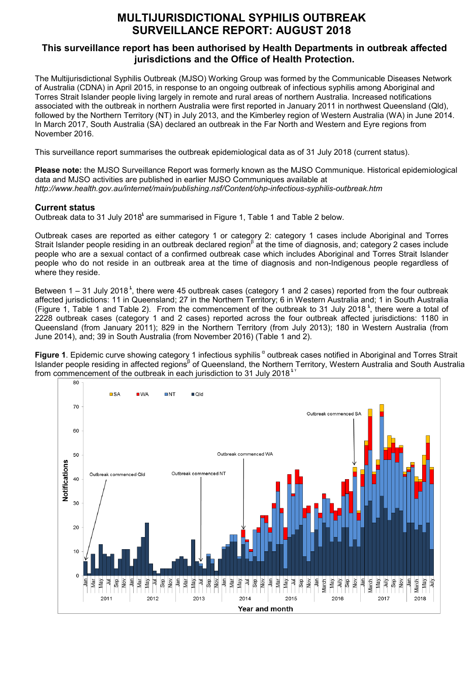# **MULTIJURISDICTIONAL SYPHILIS OUTBREAK SURVEILLANCE REPORT: AUGUST 2018**

## **This surveillance report has been authorised by Health Departments in outbreak affected jurisdictions and the Office of Health Protection.**

The Multijurisdictional Syphilis Outbreak (MJSO) Working Group was formed by the Communicable Diseases Network of Australia (CDNA) in April 2015, in response to an ongoing outbreak of infectious syphilis among Aboriginal and Torres Strait Islander people living largely in remote and rural areas of northern Australia. Increased notifications associated with the outbreak in northern Australia were first reported in January 2011 in northwest Queensland (Qld), followed by the Northern Territory (NT) in July 2013, and the Kimberley region of Western Australia (WA) in June 2014. In March 2017, South Australia (SA) declared an outbreak in the Far North and Western and Eyre regions from November 2016.

This surveillance report summarises the outbreak epidemiological data as of 31 July 2018 (current status).

**Please note:** the MJSO Surveillance Report was formerly known as the MJSO Communique. Historical epidemiological data and MJSO activities are published in earlier MJSO Communiques available at *http://www.health.gov.au/internet/main/publishing.nsf/Content/ohp-infectious-syphilis-outbreak.htm*

### **Current status**

Outbreak data to 31 July 2018<sup>t</sup> are summarised in Figure 1, Table 1 and Table 2 below.

Outbreak cases are reported as either category 1 or category 2: category 1 cases include Aboriginal and Torres Strait Islander people residing in an outbreak declared region<sup>β</sup> at the time of diagnosis, and; category 2 cases include people who are a sexual contact of a confirmed outbreak case which includes Aboriginal and Torres Strait Islander people who do not reside in an outbreak area at the time of diagnosis and non-Indigenous people regardless of where they reside.

Between 1 – 31 July 2018<sup>3</sup>, there were 45 outbreak cases (category 1 and 2 cases) reported from the four outbreak affected jurisdictions: 11 in Queensland; 27 in the Northern Territory; 6 in Western Australia and; 1 in South Australia (Figure 1, Table 1 and Table 2). From the commencement of the outbreak to 31 July 2018<sup>t</sup>, there were a total of 2228 outbreak cases (category 1 and 2 cases) reported across the four outbreak affected jurisdictions: 1180 in Queensland (from January 2011); 829 in the Northern Territory (from July 2013); 180 in Western Australia (from June 2014), and; 39 in South Australia (from November 2016) (Table 1 and 2).

**Figure 1**. Epidemic curve showing category 1 infectious syphilis <sup>α</sup> outbreak cases notified in Aboriginal and Torres Strait Islander people residing in affected regions<sup>β</sup> of Queensland, the Northern Territory, Western Australia and South Australia from commencement of the outbreak in each jurisdiction to 31 July 2018<sup> $^{\frac{1}{2}}$ </sup>

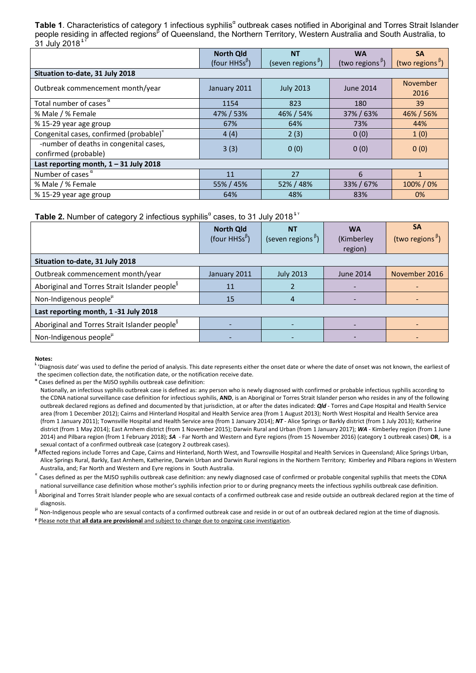Table 1. Characteristics of category 1 infectious syphilis<sup>a</sup> outbreak cases notified in Aboriginal and Torres Strait Islander people residing in affected regions<sup>β</sup> of Queensland, the Northern Territory, Western Australia and South Australia, to  $31$  July 2018<sup> $t$ </sup>

|                                                                | <b>North Qld</b>                           | <b>NT</b>                                      | <b>WA</b>                                    | <b>SA</b>                   |
|----------------------------------------------------------------|--------------------------------------------|------------------------------------------------|----------------------------------------------|-----------------------------|
|                                                                | (four HHSs <sup><math>\beta</math></sup> ) | (seven regions <sup><math>\beta</math></sup> ) | (two regions <sup><math>\beta</math></sup> ) | (two regions <sup>b</sup> ) |
| Situation to-date, 31 July 2018                                |                                            |                                                |                                              |                             |
| Outbreak commencement month/year                               | January 2011                               | <b>July 2013</b>                               | June 2014                                    | <b>November</b><br>2016     |
| Total number of cases $\alpha$                                 | 1154                                       | 823                                            | 180                                          | 39                          |
| % Male / % Female                                              | 47% / 53%                                  | 46% / 54%                                      | 37% / 63%                                    | 46% / 56%                   |
| % 15-29 year age group                                         | 67%                                        | 64%                                            | 73%                                          | 44%                         |
| Congenital cases, confirmed (probable)"                        | 4(4)                                       | 2(3)                                           | 0(0)                                         | 1(0)                        |
| -number of deaths in congenital cases,<br>confirmed (probable) | 3(3)                                       | 0(0)                                           | 0(0)                                         | 0(0)                        |
| Last reporting month, $1 - 31$ July 2018                       |                                            |                                                |                                              |                             |
| Number of cases $\alpha$                                       | 11                                         | 27                                             | 6                                            |                             |
| % Male / % Female                                              | 55% / 45%                                  | 52%/48%                                        | 33%/67%                                      | 100%/0%                     |
| % 15-29 year age group                                         | 64%                                        | 48%                                            | 83%                                          | $0\%$                       |

**Table 2.** Number of category 2 infectious syphilis<sup>"</sup> cases, to 31 July 2018<sup>ky</sup>

|                                                           | <b>North Qld</b><br>(four HHSs <sup><math>\beta</math></sup> ) | <b>NT</b><br>(seven regions <sup><math>\beta</math></sup> ) | <b>WA</b><br>(Kimberley<br>region) | <b>SA</b><br>(two regions <sup>b</sup> ) |  |
|-----------------------------------------------------------|----------------------------------------------------------------|-------------------------------------------------------------|------------------------------------|------------------------------------------|--|
| Situation to-date, 31 July 2018                           |                                                                |                                                             |                                    |                                          |  |
| Outbreak commencement month/year                          | January 2011                                                   | <b>July 2013</b>                                            | <b>June 2014</b>                   | November 2016                            |  |
| Aboriginal and Torres Strait Islander people <sup>8</sup> | 11                                                             |                                                             |                                    |                                          |  |
| Non-Indigenous people <sup>µ</sup>                        | 15                                                             |                                                             |                                    |                                          |  |
| Last reporting month, 1 -31 July 2018                     |                                                                |                                                             |                                    |                                          |  |
| Aboriginal and Torres Strait Islander people <sup>8</sup> |                                                                |                                                             |                                    |                                          |  |
| Non-Indigenous people <sup>µ</sup>                        |                                                                |                                                             |                                    |                                          |  |

**Notes:**

 $^{\sharp}$  'Diagnosis date' was used to define the period of analysis. This date represents either the onset date or where the date of onset was not known, the earliest of the specimen collection date, the notification date, or the notification receive date.

**<sup>α</sup>** Cases defined as per the MJSO syphilis outbreak case definition:

**<sup>β</sup>** Affected regions include Torres and Cape, Cairns and Hinterland, North West, and Townsville Hospital and Health Services in Queensland; Alice Springs Urban, Alice Springs Rural, Barkly, East Arnhem, Katherine, Darwin Urban and Darwin Rural regions in the Northern Territory; Kimberley and Pilbara regions in Western

Australia, and; Far North and Western and Eyre regions in South Australia.<br>A Cases defined as per the MJSO syphilis outbreak case definition: any newly diagnosed case of confirmed or probable congenital syphilis that meets national surveillance case definition whose mother's syphilis infection prior to or during pregnancy meets the infectious syphilis outbreak case definition.

s aboriginal and Torres Strait Islander people who are sexual contacts of a confirmed outbreak case and reside outside an outbreak declared region at the time of

diagnosis.<br><sup>µ</sup> Non-Indigenous people who are sexual contacts of a confirmed outbreak case and reside in or out of an outbreak declared region at the time of diagnosis.

Nationally, an infectious syphilis outbreak case is defined as: any person who is newly diagnosed with confirmed or probable infectious syphilis according to the CDNA national surveillance case definition for infectious syphilis, **AND**, is an Aboriginal or Torres Strait Islander person who resides in any of the following outbreak declared regions as defined and documented by that jurisdiction, at or after the dates indicated: *Qld* - Torres and Cape Hospital and Health Service area (from 1 December 2012); Cairns and Hinterland Hospital and Health Service area (from 1 August 2013); North West Hospital and Health Service area (from 1 January 2011); Townsville Hospital and Health Service area (from 1 January 2014); *NT* - Alice Springs or Barkly district (from 1 July 2013); Katherine district (from 1 May 2014); East Arnhem district (from 1 November 2015); Darwin Rural and Urban (from 1 January 2017); *WA* - Kimberley region (from 1 June 2014) and Pilbara region (from 1 February 2018); *SA* - Far North and Western and Eyre regions (from 15 November 2016) (category 1 outbreak cases) **OR**, is a sexual contact of a confirmed outbreak case (category 2 outbreak cases).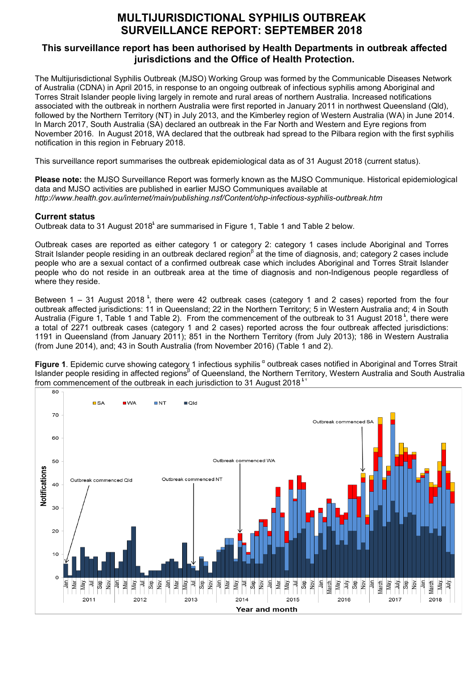# **MULTIJURISDICTIONAL SYPHILIS OUTBREAK SURVEILLANCE REPORT: SEPTEMBER 2018**

## **This surveillance report has been authorised by Health Departments in outbreak affected jurisdictions and the Office of Health Protection.**

The Multijurisdictional Syphilis Outbreak (MJSO) Working Group was formed by the Communicable Diseases Network of Australia (CDNA) in April 2015, in response to an ongoing outbreak of infectious syphilis among Aboriginal and Torres Strait Islander people living largely in remote and rural areas of northern Australia. Increased notifications associated with the outbreak in northern Australia were first reported in January 2011 in northwest Queensland (Qld), followed by the Northern Territory (NT) in July 2013, and the Kimberley region of Western Australia (WA) in June 2014. In March 2017, South Australia (SA) declared an outbreak in the Far North and Western and Eyre regions from November 2016. In August 2018, WA declared that the outbreak had spread to the Pilbara region with the first syphilis notification in this region in February 2018.

This surveillance report summarises the outbreak epidemiological data as of 31 August 2018 (current status).

**Please note:** the MJSO Surveillance Report was formerly known as the MJSO Communique. Historical epidemiological data and MJSO activities are published in earlier MJSO Communiques available at *http://www.health.gov.au/internet/main/publishing.nsf/Content/ohp-infectious-syphilis-outbreak.htm*

### **Current status**

Outbreak data to 31 August 2018 $^{\circ}$  are summarised in Figure 1, Table 1 and Table 2 below.

Outbreak cases are reported as either category 1 or category 2: category 1 cases include Aboriginal and Torres Strait Islander people residing in an outbreak declared region<sup>β</sup> at the time of diagnosis, and; category 2 cases include people who are a sexual contact of a confirmed outbreak case which includes Aboriginal and Torres Strait Islander people who do not reside in an outbreak area at the time of diagnosis and non-Indigenous people regardless of where they reside.

Between 1 – 31 August 2018<sup>t</sup>, there were 42 outbreak cases (category 1 and 2 cases) reported from the four outbreak affected jurisdictions: 11 in Queensland; 22 in the Northern Territory; 5 in Western Australia and; 4 in South Australia (Figure 1, Table 1 and Table 2). From the commencement of the outbreak to 31 August 2018<sup>\*</sup>, there were a total of 2271 outbreak cases (category 1 and 2 cases) reported across the four outbreak affected jurisdictions: 1191 in Queensland (from January 2011); 851 in the Northern Territory (from July 2013); 186 in Western Australia (from June 2014), and; 43 in South Australia (from November 2016) (Table 1 and 2).

Figure 1. Epidemic curve showing category 1 infectious syphilis <sup>a</sup> outbreak cases notified in Aboriginal and Torres Strait Islander people residing in affected regions<sup>β</sup> of Queensland, the Northern Territory, Western Australia and South Australia from commencement of the outbreak in each jurisdiction to 31 August 2018<sup> $\star$ </sup>

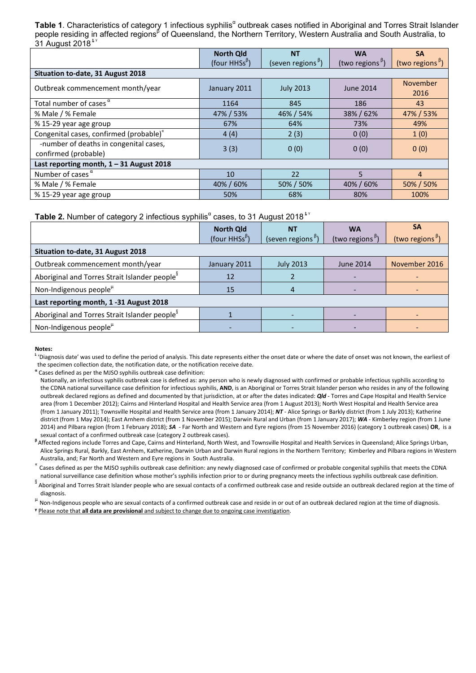**Table 1.** Characteristics of category 1 infectious syphilis<sup>a</sup> outbreak cases notified in Aboriginal and Torres Strait Islander people residing in affected regions<sup>β</sup> of Queensland, the Northern Territory, Western Australia and South Australia, to  $31$  August 2018 $^{\frac{1}{5}}$ 

|                                                                | <b>North Qld</b>                           | <b>NT</b>                                      | <b>WA</b>                                    | <b>SA</b>                   |
|----------------------------------------------------------------|--------------------------------------------|------------------------------------------------|----------------------------------------------|-----------------------------|
|                                                                | (four HHSs <sup><math>\beta</math></sup> ) | (seven regions <sup><math>\beta</math></sup> ) | (two regions <sup><math>\beta</math></sup> ) | (two regions <sup>b</sup> ) |
| Situation to-date, 31 August 2018                              |                                            |                                                |                                              |                             |
| Outbreak commencement month/year                               | January 2011                               | <b>July 2013</b>                               | June 2014                                    | <b>November</b><br>2016     |
| Total number of cases $\alpha$                                 | 1164                                       | 845                                            | 186                                          | 43                          |
| % Male / % Female                                              | 47% / 53%                                  | 46% / 54%                                      | 38% / 62%                                    | 47% / 53%                   |
| % 15-29 year age group                                         | 67%                                        | 64%                                            | 73%                                          | 49%                         |
| Congenital cases, confirmed (probable)"                        | 4(4)                                       | 2(3)                                           | 0(0)                                         | 1(0)                        |
| -number of deaths in congenital cases,<br>confirmed (probable) | 3(3)                                       | 0(0)                                           | 0(0)                                         | 0(0)                        |
| Last reporting month, $1 - 31$ August 2018                     |                                            |                                                |                                              |                             |
| Number of cases $\alpha$                                       | 10                                         | 22                                             | 5                                            | $\overline{4}$              |
| % Male / % Female                                              | 40% / 60%                                  | 50% / 50%                                      | 40% / 60%                                    | 50% / 50%                   |
| % 15-29 year age group                                         | 50%                                        | 68%                                            | 80%                                          | 100%                        |

Table 2. Number of category 2 infectious syphilis<sup>a</sup> cases, to 31 August 2018<sup>ky</sup>

|                                                           | <b>North Qld</b><br>(four HHSs <sup><math>\beta</math></sup> ) | <b>NT</b><br>(seven regions <sup><math>\beta</math></sup> ) | <b>WA</b><br>(two regions <sup>b</sup> ) | <b>SA</b><br>(two regions <sup><math>\beta</math></sup> ) |  |
|-----------------------------------------------------------|----------------------------------------------------------------|-------------------------------------------------------------|------------------------------------------|-----------------------------------------------------------|--|
| Situation to-date, 31 August 2018                         |                                                                |                                                             |                                          |                                                           |  |
| Outbreak commencement month/year                          | January 2011                                                   | <b>July 2013</b>                                            | <b>June 2014</b>                         | November 2016                                             |  |
| Aboriginal and Torres Strait Islander people <sup>8</sup> | 12                                                             |                                                             |                                          |                                                           |  |
| Non-Indigenous people <sup>µ</sup>                        | 15                                                             |                                                             |                                          |                                                           |  |
| Last reporting month, 1 -31 August 2018                   |                                                                |                                                             |                                          |                                                           |  |
| Aboriginal and Torres Strait Islander people <sup>8</sup> |                                                                |                                                             |                                          |                                                           |  |
| Non-Indigenous people <sup>µ</sup>                        |                                                                |                                                             |                                          |                                                           |  |

#### **Notes:**

 $^{\text{t}}$  'Diagnosis date' was used to define the period of analysis. This date represents either the onset date or where the date of onset was not known, the earliest of the specimen collection date, the notification date, or the notification receive date.

**<sup>α</sup>** Cases defined as per the MJSO syphilis outbreak case definition:

<sup>B</sup> Affected regions include Torres and Cape, Cairns and Hinterland, North West, and Townsville Hospital and Health Services in Queensland; Alice Springs Urban, Alice Springs Rural, Barkly, East Arnhem, Katherine, Darwin Urban and Darwin Rural regions in the Northern Territory; Kimberley and Pilbara regions in Western<br>Australia, and; Far North and Western and Eyre regions in South

Cases defined as per the MJSO syphilis outbreak case definition: any newly diagnosed case of confirmed or probable congenital syphilis that meets the CDNA national surveillance case definition whose mother's syphilis infection prior to or during pregnancy meets the infectious syphilis outbreak case definition.

Saboriginal and Torres Strait Islander people who are sexual contacts of a confirmed outbreak case and reside outside an outbreak declared region at the time of

diagnosis.<br><sup>µ</sup> Non-Indigenous people who are sexual contacts of a confirmed outbreak case and reside in or out of an outbreak declared region at the time of diagnosis. **ᵞ** Please note that **all data are provisional** and subject to change due to ongoing case investigation.

Nationally, an infectious syphilis outbreak case is defined as: any person who is newly diagnosed with confirmed or probable infectious syphilis according to the CDNA national surveillance case definition for infectious syphilis, **AND**, is an Aboriginal or Torres Strait Islander person who resides in any of the following outbreak declared regions as defined and documented by that jurisdiction, at or after the dates indicated: *Qld* - Torres and Cape Hospital and Health Service area (from 1 December 2012); Cairns and Hinterland Hospital and Health Service area (from 1 August 2013); North West Hospital and Health Service area (from 1 January 2011); Townsville Hospital and Health Service area (from 1 January 2014); *NT* - Alice Springs or Barkly district (from 1 July 2013); Katherine district (from 1 May 2014); East Arnhem district (from 1 November 2015); Darwin Rural and Urban (from 1 January 2017); *WA* - Kimberley region (from 1 June 2014) and Pilbara region (from 1 February 2018); *SA* - Far North and Western and Eyre regions (from 15 November 2016) (category 1 outbreak cases) **OR**, is a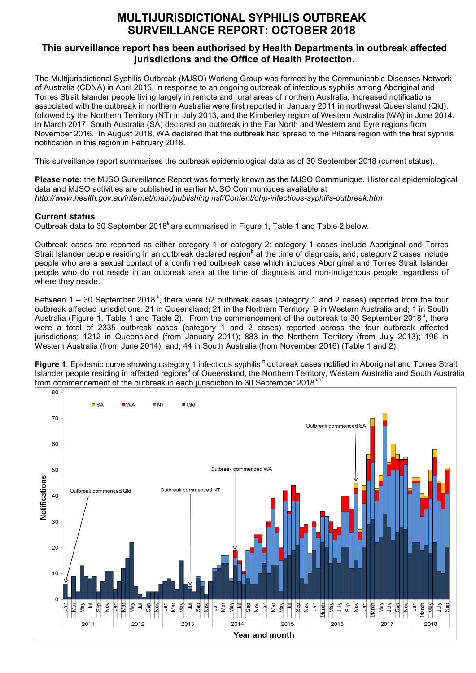# **MULTIJURISDICTIONAL SYPHILIS OUTBREAK SURVEILLANCE REPORT: OCTOBER 2018**

## **This surveillance report has been authorised by Health Departments in outbreak affected jurisdictions and the Office of Health Protection.**

The Multijurisdictional Syphilis Outbreak (MJSO) Working Group was formed by the Communicable Diseases Network of Australia (CDNA) in April 2015, in response to an ongoing outbreak of infectious syphilis among Aboriginal and Torres Strait Islander people living largely in remote and rural areas of northern Australia. Increased notifications associated with the outbreak in northern Australia were first reported in January 2011 in northwest Queensland (Qld), followed by the Northern Territory (NT) in July 2013, and the Kimberley region of Western Australia (WA) in June 2014. In March 2017, South Australia (SA) declared an outbreak in the Far North and Western and Eyre regions from November 2016. In August 2018, WA declared that the outbreak had spread to the Pilbara region with the first syphilis notification in this region in February 2018.

This surveillance report summarises the outbreak epidemiological data as of 30 September 2018 (current status).

**Please note:** the MJSO Surveillance Report was formerly known as the MJSO Communique. Historical epidemiological data and MJSO activities are published in earlier MJSO Communiques available at *http://www.health.gov.au/internet/main/publishing.nsf/Content/ohp-infectious-syphilis-outbreak.htm*

### **Current status**

Outbreak data to 30 September 2018<sup>t</sup> are summarised in Figure 1, Table 1 and Table 2 below.

Outbreak cases are reported as either category 1 or category 2: category 1 cases include Aboriginal and Torres Strait Islander people residing in an outbreak declared region<sup>β</sup> at the time of diagnosis, and; category 2 cases include people who are a sexual contact of a confirmed outbreak case which includes Aboriginal and Torres Strait Islander people who do not reside in an outbreak area at the time of diagnosis and non-Indigenous people regardless of where they reside.

Between  $1 - 30$  September 2018<sup>t</sup>, there were 52 outbreak cases (category 1 and 2 cases) reported from the four outbreak affected jurisdictions: 21 in Queensland; 21 in the Northern Territory; 9 in Western Australia and; 1 in South Australia (Figure 1, Table 1 and Table 2). From the commencement of the outbreak to 30 September 2018<sup>t</sup>, there were a total of 2335 outbreak cases (category 1 and 2 cases) reported across the four outbreak affected jurisdictions: 1212 in Queensland (from January 2011); 883 in the Northern Territory (from July 2013); 196 in Western Australia (from June 2014), and; 44 in South Australia (from November 2016) (Table 1 and 2).

**Figure 1**. Epidemic curve showing category 1 infectious syphilis <sup>α</sup> outbreak cases notified in Aboriginal and Torres Strait Islander people residing in affected regions<sup>β</sup> of Queensland, the Northern Territory, Western Australia and South Australia from commencement of the outbreak in each jurisdiction to 30 September 2018 $^{\text{t}}$ 

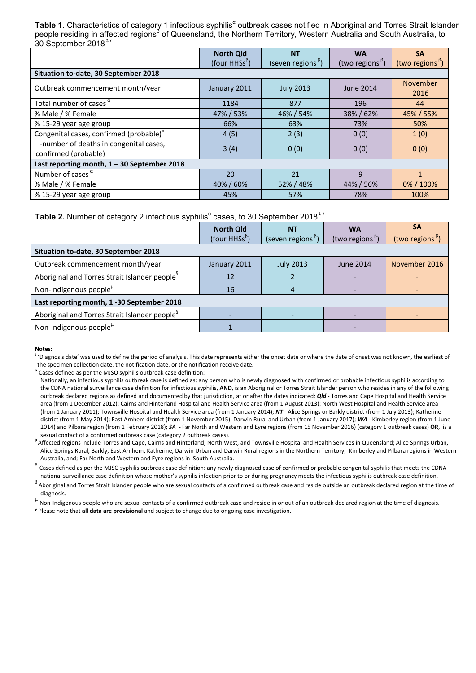**Table 1.** Characteristics of category 1 infectious syphilis<sup>a</sup> outbreak cases notified in Aboriginal and Torres Strait Islander people residing in affected regions<sup>β</sup> of Queensland, the Northern Territory, Western Australia and South Australia, to 30 September 2018<sup>\*</sup>

|                                               | <b>North Qld</b>                           | <b>NT</b>                     | <b>WA</b>                   | <b>SA</b>                                    |
|-----------------------------------------------|--------------------------------------------|-------------------------------|-----------------------------|----------------------------------------------|
|                                               | (four HHSs <sup><math>\beta</math></sup> ) | (seven regions <sup>B</sup> ) | (two regions <sup>B</sup> ) | (two regions <sup><math>\beta</math></sup> ) |
| Situation to-date, 30 September 2018          |                                            |                               |                             |                                              |
| Outbreak commencement month/year              | January 2011                               | <b>July 2013</b>              | <b>June 2014</b>            | <b>November</b>                              |
|                                               |                                            |                               |                             | 2016                                         |
| Total number of cases $\alpha$                | 1184                                       | 877                           | 196                         | 44                                           |
| % Male / % Female                             | 47% / 53%                                  | 46% / 54%                     | 38% / 62%                   | 45% / 55%                                    |
| % 15-29 year age group                        | 66%                                        | 63%                           | 73%                         | 50%                                          |
| Congenital cases, confirmed (probable)"       | 4(5)                                       | 2(3)                          | 0(0)                        | 1(0)                                         |
| -number of deaths in congenital cases,        | 3(4)                                       |                               |                             |                                              |
| confirmed (probable)                          |                                            | 0(0)                          | 0(0)                        | 0(0)                                         |
| Last reporting month, $1 - 30$ September 2018 |                                            |                               |                             |                                              |
| Number of cases $\alpha$                      | 20                                         | 21                            | $\mathbf{q}$                |                                              |
| % Male / % Female                             | 40%/60%                                    | 52% / 48%                     | 44% / 56%                   | 0%/100%                                      |
| % 15-29 year age group                        | 45%                                        | 57%                           | 78%                         | 100%                                         |

**Table 2.** Number of category 2 infectious syphilis<sup>a</sup> cases, to 30 September 2018<sup>*tv*</sup>

|                                                           | <b>North Qld</b><br>(four HHSs <sup><math>\beta</math></sup> ) | <b>NT</b><br>(seven regions <sup><math>\beta</math></sup> ) | <b>WA</b><br>(two regions <sup>b</sup> ) | <b>SA</b><br>(two regions $\beta$ ) |  |
|-----------------------------------------------------------|----------------------------------------------------------------|-------------------------------------------------------------|------------------------------------------|-------------------------------------|--|
| Situation to-date, 30 September 2018                      |                                                                |                                                             |                                          |                                     |  |
| Outbreak commencement month/year                          | January 2011                                                   | <b>July 2013</b>                                            | <b>June 2014</b>                         | November 2016                       |  |
| Aboriginal and Torres Strait Islander people <sup>8</sup> | 12                                                             |                                                             |                                          |                                     |  |
| Non-Indigenous people <sup>µ</sup>                        | 16                                                             |                                                             |                                          |                                     |  |
| Last reporting month, 1 -30 September 2018                |                                                                |                                                             |                                          |                                     |  |
| Aboriginal and Torres Strait Islander people <sup>8</sup> |                                                                |                                                             |                                          |                                     |  |
| Non-Indigenous people <sup>µ</sup>                        |                                                                |                                                             |                                          |                                     |  |

**Notes:**

 $^{\text{t}}$  'Diagnosis date' was used to define the period of analysis. This date represents either the onset date or where the date of onset was not known, the earliest of the specimen collection date, the notification date, or the notification receive date.

**<sup>α</sup>** Cases defined as per the MJSO syphilis outbreak case definition:

<sup>B</sup> Affected regions include Torres and Cape, Cairns and Hinterland, North West, and Townsville Hospital and Health Services in Queensland; Alice Springs Urban, Alice Springs Rural, Barkly, East Arnhem, Katherine, Darwin Urban and Darwin Rural regions in the Northern Territory; Kimberley and Pilbara regions in Western<br>Australia, and; Far North and Western and Eyre regions in South

Cases defined as per the MJSO syphilis outbreak case definition: any newly diagnosed case of confirmed or probable congenital syphilis that meets the CDNA national surveillance case definition whose mother's syphilis infection prior to or during pregnancy meets the infectious syphilis outbreak case definition.

Saboriginal and Torres Strait Islander people who are sexual contacts of a confirmed outbreak case and reside outside an outbreak declared region at the time of diagnosis.<br><sup>µ</sup> Non-Indigenous people who are sexual contacts of a confirmed outbreak case and reside in or out of an outbreak declared region at the time of diagnosis.

Nationally, an infectious syphilis outbreak case is defined as: any person who is newly diagnosed with confirmed or probable infectious syphilis according to the CDNA national surveillance case definition for infectious syphilis, **AND**, is an Aboriginal or Torres Strait Islander person who resides in any of the following outbreak declared regions as defined and documented by that jurisdiction, at or after the dates indicated: *Qld* - Torres and Cape Hospital and Health Service area (from 1 December 2012); Cairns and Hinterland Hospital and Health Service area (from 1 August 2013); North West Hospital and Health Service area (from 1 January 2011); Townsville Hospital and Health Service area (from 1 January 2014); *NT* - Alice Springs or Barkly district (from 1 July 2013); Katherine district (from 1 May 2014); East Arnhem district (from 1 November 2015); Darwin Rural and Urban (from 1 January 2017); *WA* - Kimberley region (from 1 June 2014) and Pilbara region (from 1 February 2018); *SA* - Far North and Western and Eyre regions (from 15 November 2016) (category 1 outbreak cases) **OR**, is a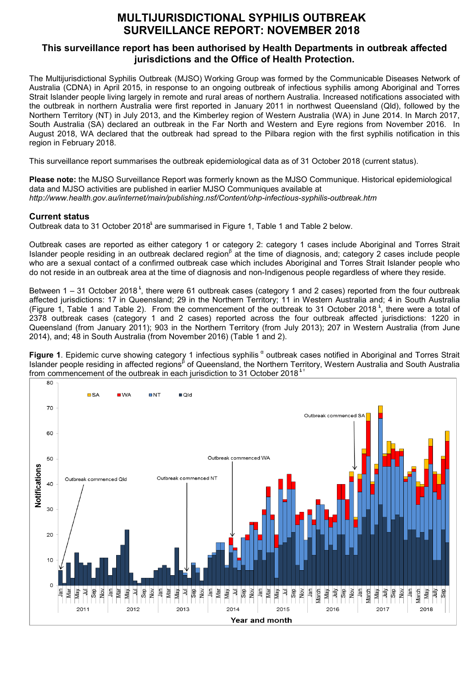# **MULTIJURISDICTIONAL SYPHILIS OUTBREAK SURVEILLANCE REPORT: NOVEMBER 2018**

### **This surveillance report has been authorised by Health Departments in outbreak affected jurisdictions and the Office of Health Protection.**

The Multijurisdictional Syphilis Outbreak (MJSO) Working Group was formed by the Communicable Diseases Network of Australia (CDNA) in April 2015, in response to an ongoing outbreak of infectious syphilis among Aboriginal and Torres Strait Islander people living largely in remote and rural areas of northern Australia. Increased notifications associated with the outbreak in northern Australia were first reported in January 2011 in northwest Queensland (Qld), followed by the Northern Territory (NT) in July 2013, and the Kimberley region of Western Australia (WA) in June 2014. In March 2017, South Australia (SA) declared an outbreak in the Far North and Western and Eyre regions from November 2016. In August 2018, WA declared that the outbreak had spread to the Pilbara region with the first syphilis notification in this region in February 2018.

This surveillance report summarises the outbreak epidemiological data as of 31 October 2018 (current status).

**Please note:** the MJSO Surveillance Report was formerly known as the MJSO Communique. Historical epidemiological data and MJSO activities are published in earlier MJSO Communiques available at *http://www.health.gov.au/internet/main/publishing.nsf/Content/ohp-infectious-syphilis-outbreak.htm*

### **Current status**

Outbreak data to 31 October 2018<sup>t</sup> are summarised in Figure 1, Table 1 and Table 2 below.

Outbreak cases are reported as either category 1 or category 2: category 1 cases include Aboriginal and Torres Strait Islander people residing in an outbreak declared region<sup>β</sup> at the time of diagnosis, and; category 2 cases include people who are a sexual contact of a confirmed outbreak case which includes Aboriginal and Torres Strait Islander people who do not reside in an outbreak area at the time of diagnosis and non-Indigenous people regardless of where they reside.

Between 1 – 31 October 2018<sup>\*</sup>, there were 61 outbreak cases (category 1 and 2 cases) reported from the four outbreak affected jurisdictions: 17 in Queensland; 29 in the Northern Territory; 11 in Western Australia and; 4 in South Australia (Figure 1, Table 1 and Table 2). From the commencement of the outbreak to 31 October 2018<sup>t</sup>, there were a total of 2378 outbreak cases (category 1 and 2 cases) reported across the four outbreak affected jurisdictions: 1220 in Queensland (from January 2011); 903 in the Northern Territory (from July 2013); 207 in Western Australia (from June 2014), and; 48 in South Australia (from November 2016) (Table 1 and 2).

**Figure 1**. Epidemic curve showing category 1 infectious syphilis <sup>α</sup> outbreak cases notified in Aboriginal and Torres Strait Islander people residing in affected regions<sup>β</sup> of Queensland, the Northern Territory, Western Australia and South Australia from commencement of the outbreak in each jurisdiction to 31 October 2018<sup> $\frac{1}{2}$ </sup>

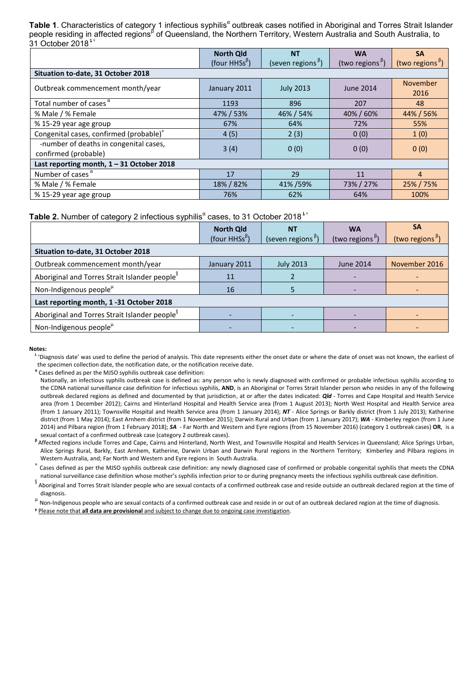Table 1. Characteristics of category 1 infectious syphilis<sup>a</sup> outbreak cases notified in Aboriginal and Torres Strait Islander people residing in affected regions<sup>β</sup> of Queensland, the Northern Territory, Western Australia and South Australia, to  $31$  October 2018 $^{\text{1}}$ 

|                                                                | <b>North Qld</b>          | <b>NT</b>                                      | <b>WA</b>                   | <b>SA</b>                                    |  |
|----------------------------------------------------------------|---------------------------|------------------------------------------------|-----------------------------|----------------------------------------------|--|
|                                                                | (four HHSs <sup>B</sup> ) | (seven regions <sup><math>\beta</math></sup> ) | (two regions <sup>B</sup> ) | (two regions <sup><math>\beta</math></sup> ) |  |
| Situation to-date, 31 October 2018                             |                           |                                                |                             |                                              |  |
| Outbreak commencement month/year                               | January 2011              | <b>July 2013</b>                               | June 2014                   | <b>November</b><br>2016                      |  |
| Total number of cases $\alpha$                                 | 1193                      | 896                                            | 207                         | 48                                           |  |
| % Male / % Female                                              | 47% / 53%                 | 46% / 54%                                      | 40% / 60%                   | 44% / 56%                                    |  |
| % 15-29 year age group                                         | 67%                       | 64%                                            | 72%                         | 55%                                          |  |
| Congenital cases, confirmed (probable)"                        | 4(5)                      | 2(3)                                           | 0(0)                        | 1(0)                                         |  |
| -number of deaths in congenital cases,<br>confirmed (probable) | 3(4)                      | 0(0)                                           | 0(0)                        | 0(0)                                         |  |
| Last reporting month, $1 - 31$ October 2018                    |                           |                                                |                             |                                              |  |
| Number of cases $\alpha$                                       | 17                        | 29                                             | 11                          | $\overline{4}$                               |  |
| % Male / % Female                                              | 18% / 82%                 | 41%/59%                                        | 73% / 27%                   | 25% / 75%                                    |  |
| % 15-29 year age group                                         | 76%                       | 62%                                            | 64%                         | 100%                                         |  |

**Table 2.** Number of category 2 infectious syphilis<sup>a</sup> cases, to 31 October 2018<sup>*i*</sup>

|                                                           | <b>North Qld</b><br>(four HHSs <sup><math>\beta</math></sup> ) | <b>NT</b><br>(seven regions <sup><math>\beta</math></sup> ) | <b>WA</b><br>(two regions <sup>b</sup> ) | SΑ<br>(two regions $\beta$ ) |  |
|-----------------------------------------------------------|----------------------------------------------------------------|-------------------------------------------------------------|------------------------------------------|------------------------------|--|
| Situation to-date, 31 October 2018                        |                                                                |                                                             |                                          |                              |  |
| Outbreak commencement month/year                          | January 2011                                                   | <b>July 2013</b>                                            | <b>June 2014</b>                         | November 2016                |  |
| Aboriginal and Torres Strait Islander people <sup>8</sup> | 11                                                             |                                                             |                                          |                              |  |
| Non-Indigenous people <sup>µ</sup>                        | 16                                                             |                                                             |                                          |                              |  |
| Last reporting month, 1-31 October 2018                   |                                                                |                                                             |                                          |                              |  |
| Aboriginal and Torres Strait Islander people <sup>8</sup> |                                                                |                                                             |                                          |                              |  |
| Non-Indigenous people <sup>µ</sup>                        |                                                                |                                                             |                                          |                              |  |

#### **Notes:**

 $^{\text{t}}$  'Diagnosis date' was used to define the period of analysis. This date represents either the onset date or where the date of onset was not known, the earliest of the specimen collection date, the notification date, or the notification receive date.

**<sup>α</sup>** Cases defined as per the MJSO syphilis outbreak case definition:

sexual contact of a confirmed outbreak case (category 2 outbreak cases).<br>Affected regions include Torres and Cape, Cairns and Hinterland, North West, and Townsville Hospital and Health Services in Queensland; Alice Springs Alice Springs Rural, Barkly, East Arnhem, Katherine, Darwin Urban and Darwin Rural regions in the Northern Territory; Kimberley and Pilbara regions in

Western Australia, and; Far North and Western and Eyre regions in South Australia.<br>Alianosed case of confirmed or probable congenital syphilis outbreak case (definition: any newly diagnosed case of confirmed or probable co national surveillance case definition whose mother's syphilis infection prior to or during pregnancy meets the infectious syphilis outbreak case definition.

SCRUPT 2008 Aboriginal and Torres Strait Islander people who are sexual contacts of a confirmed outbreak case and reside outside an outbreak declared region at the time of

diagnosis.<br><sup>µ</sup> Non-Indigenous people who are sexual contacts of a confirmed outbreak case and reside in or out of an outbreak declared region at the time of diagnosis.

Nationally, an infectious syphilis outbreak case is defined as: any person who is newly diagnosed with confirmed or probable infectious syphilis according to the CDNA national surveillance case definition for infectious syphilis, **AND**, is an Aboriginal or Torres Strait Islander person who resides in any of the following outbreak declared regions as defined and documented by that jurisdiction, at or after the dates indicated: *Qld* - Torres and Cape Hospital and Health Service area (from 1 December 2012); Cairns and Hinterland Hospital and Health Service area (from 1 August 2013); North West Hospital and Health Service area (from 1 January 2011); Townsville Hospital and Health Service area (from 1 January 2014); *NT* - Alice Springs or Barkly district (from 1 July 2013); Katherine district (from 1 May 2014); East Arnhem district (from 1 November 2015); Darwin Rural and Urban (from 1 January 2017); **WA** - Kimberley region (from 1 June 2014) and Pilbara region (from 1 February 2018); *SA* - Far North and Western and Eyre regions (from 15 November 2016) (category 1 outbreak cases) **OR**, is a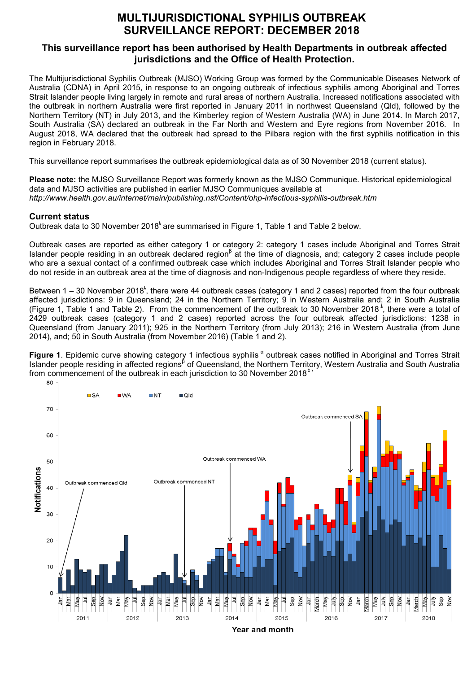# **MULTIJURISDICTIONAL SYPHILIS OUTBREAK SURVEILLANCE REPORT: DECEMBER 2018**

### **This surveillance report has been authorised by Health Departments in outbreak affected jurisdictions and the Office of Health Protection.**

The Multijurisdictional Syphilis Outbreak (MJSO) Working Group was formed by the Communicable Diseases Network of Australia (CDNA) in April 2015, in response to an ongoing outbreak of infectious syphilis among Aboriginal and Torres Strait Islander people living largely in remote and rural areas of northern Australia. Increased notifications associated with the outbreak in northern Australia were first reported in January 2011 in northwest Queensland (Qld), followed by the Northern Territory (NT) in July 2013, and the Kimberley region of Western Australia (WA) in June 2014. In March 2017, South Australia (SA) declared an outbreak in the Far North and Western and Eyre regions from November 2016. In August 2018, WA declared that the outbreak had spread to the Pilbara region with the first syphilis notification in this region in February 2018.

This surveillance report summarises the outbreak epidemiological data as of 30 November 2018 (current status).

**Please note:** the MJSO Surveillance Report was formerly known as the MJSO Communique. Historical epidemiological data and MJSO activities are published in earlier MJSO Communiques available at *http://www.health.gov.au/internet/main/publishing.nsf/Content/ohp-infectious-syphilis-outbreak.htm*

### **Current status**

Outbreak data to 30 November 2018<sup>t</sup> are summarised in Figure 1, Table 1 and Table 2 below.

Outbreak cases are reported as either category 1 or category 2: category 1 cases include Aboriginal and Torres Strait Islander people residing in an outbreak declared region<sup>β</sup> at the time of diagnosis, and; category 2 cases include people who are a sexual contact of a confirmed outbreak case which includes Aboriginal and Torres Strait Islander people who do not reside in an outbreak area at the time of diagnosis and non-Indigenous people regardless of where they reside.

Between 1 – 30 November 2018<sup>t</sup>, there were 44 outbreak cases (category 1 and 2 cases) reported from the four outbreak affected jurisdictions: 9 in Queensland; 24 in the Northern Territory; 9 in Western Australia and; 2 in South Australia (Figure 1, Table 1 and Table 2). From the commencement of the outbreak to 30 November 2018<sup>t</sup>, there were a total of 2429 outbreak cases (category 1 and 2 cases) reported across the four outbreak affected jurisdictions: 1238 in Queensland (from January 2011); 925 in the Northern Territory (from July 2013); 216 in Western Australia (from June 2014), and; 50 in South Australia (from November 2016) (Table 1 and 2).

**Figure 1**. Epidemic curve showing category 1 infectious syphilis <sup>a</sup> outbreak cases notified in Aboriginal and Torres Strait Islander people residing in affected regions<sup>β</sup> of Queensland, the Northern Territory, Western Australia and South Australia from commencement of the outbreak in each jurisdiction to 30 November 2018<sup> $^{\star}$ </sup>

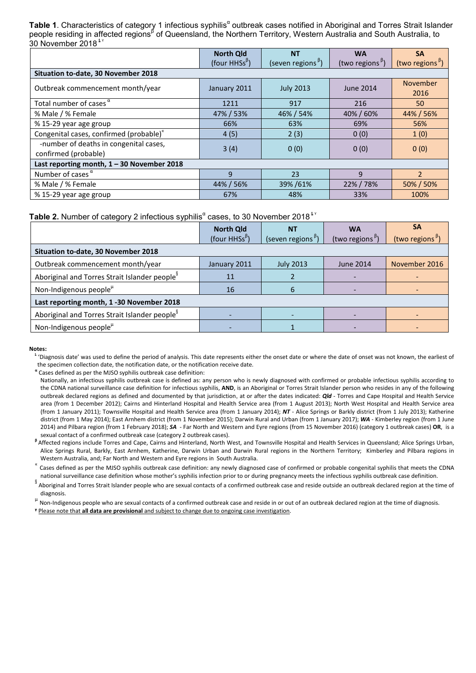Table 1. Characteristics of category 1 infectious syphilis<sup>a</sup> outbreak cases notified in Aboriginal and Torres Strait Islander people residing in affected regions<sup>β</sup> of Queensland, the Northern Territory, Western Australia and South Australia, to 30 November 2018<sup>\$</sup>

|                                                                | <b>North Qld</b>          | <b>NT</b>                                      | <b>WA</b>                   | <b>SA</b>                                    |  |
|----------------------------------------------------------------|---------------------------|------------------------------------------------|-----------------------------|----------------------------------------------|--|
|                                                                | (four HHSs <sup>B</sup> ) | (seven regions <sup><math>\beta</math></sup> ) | (two regions <sup>B</sup> ) | (two regions <sup><math>\beta</math></sup> ) |  |
| <b>Situation to-date, 30 November 2018</b>                     |                           |                                                |                             |                                              |  |
| Outbreak commencement month/year                               | January 2011              | <b>July 2013</b>                               | <b>June 2014</b>            | <b>November</b><br>2016                      |  |
| Total number of cases $\alpha$                                 | 1211                      | 917                                            | 216                         | 50                                           |  |
| % Male / % Female                                              | 47% / 53%                 | 46% / 54%                                      | 40% / 60%                   | 44% / 56%                                    |  |
| % 15-29 year age group                                         | 66%                       | 63%                                            | 69%                         | 56%                                          |  |
| Congenital cases, confirmed (probable)"                        | 4(5)                      | 2(3)                                           | 0(0)                        | 1(0)                                         |  |
| -number of deaths in congenital cases,<br>confirmed (probable) | 3(4)                      | 0(0)                                           | 0(0)                        | 0(0)                                         |  |
| Last reporting month, $1 - 30$ November 2018                   |                           |                                                |                             |                                              |  |
| Number of cases $\alpha$                                       | $\mathbf{q}$              | 23                                             | 9                           | $\overline{2}$                               |  |
| % Male / % Female                                              | 44% / 56%                 | 39%/61%                                        | 22%/78%                     | 50% / 50%                                    |  |
| % 15-29 year age group                                         | 67%                       | 48%                                            | 33%                         | 100%                                         |  |

**Table 2.** Number of category 2 infectious syphilis<sup>a</sup> cases, to 30 November 2018<sup>*tv*</sup>

|                                                           | <b>North Qld</b><br>(four HHSs <sup><math>\beta</math></sup> ) | <b>NT</b><br>(seven regions <sup><math>\beta</math></sup> ) | <b>WA</b><br>(two regions <sup>b</sup> ) | SΑ<br>(two regions <sup><math>\beta</math></sup> ) |
|-----------------------------------------------------------|----------------------------------------------------------------|-------------------------------------------------------------|------------------------------------------|----------------------------------------------------|
| Situation to-date, 30 November 2018                       |                                                                |                                                             |                                          |                                                    |
| Outbreak commencement month/year                          | January 2011                                                   | <b>July 2013</b>                                            | <b>June 2014</b>                         | November 2016                                      |
| Aboriginal and Torres Strait Islander people <sup>8</sup> | 11                                                             |                                                             |                                          |                                                    |
| Non-Indigenous people <sup>µ</sup>                        | 16                                                             | 6                                                           |                                          |                                                    |
| Last reporting month, 1 -30 November 2018                 |                                                                |                                                             |                                          |                                                    |
| Aboriginal and Torres Strait Islander people <sup>8</sup> |                                                                |                                                             |                                          |                                                    |
| Non-Indigenous people <sup>µ</sup>                        |                                                                |                                                             |                                          |                                                    |

#### **Notes:**

 $^{\text{t}}$  'Diagnosis date' was used to define the period of analysis. This date represents either the onset date or where the date of onset was not known, the earliest of the specimen collection date, the notification date, or the notification receive date.

**<sup>α</sup>** Cases defined as per the MJSO syphilis outbreak case definition:

sexual contact of a confirmed outbreak case (category 2 outbreak cases).<br>Affected regions include Torres and Cape, Cairns and Hinterland, North West, and Townsville Hospital and Health Services in Queensland; Alice Springs Alice Springs Rural, Barkly, East Arnhem, Katherine, Darwin Urban and Darwin Rural regions in the Northern Territory; Kimberley and Pilbara regions in Western Australia, and; Far North and Western and Eyre regions in South

 $"$  Cases defined as per the MJSO syphilis outbreak case definition: any newly diagnosed case of confirmed or probable congenital syphilis that meets the CDNA national surveillance case definition whose mother's syphilis infection prior to or during pregnancy meets the infectious syphilis outbreak case definition.

SCRECTER EXTERNAL CONTROLLED TO THE STRAIT ISLAMIC STRAINING TO A CONFIRED OUTDREAK CASE AND TRISTED AND TRISTED AT THE TIME OF

diagnosis.<br><sup>µ</sup> Non-Indigenous people who are sexual contacts of a confirmed outbreak case and reside in or out of an outbreak declared region at the time of diagnosis.

Nationally, an infectious syphilis outbreak case is defined as: any person who is newly diagnosed with confirmed or probable infectious syphilis according to the CDNA national surveillance case definition for infectious syphilis, **AND**, is an Aboriginal or Torres Strait Islander person who resides in any of the following outbreak declared regions as defined and documented by that jurisdiction, at or after the dates indicated: *Qld* - Torres and Cape Hospital and Health Service area (from 1 December 2012); Cairns and Hinterland Hospital and Health Service area (from 1 August 2013); North West Hospital and Health Service area (from 1 January 2011); Townsville Hospital and Health Service area (from 1 January 2014); *NT* - Alice Springs or Barkly district (from 1 July 2013); Katherine district (from 1 May 2014); East Arnhem district (from 1 November 2015); Darwin Rural and Urban (from 1 January 2017); **WA** - Kimberley region (from 1 June 2014) and Pilbara region (from 1 February 2018); *SA* - Far North and Western and Eyre regions (from 15 November 2016) (category 1 outbreak cases) **OR**, is a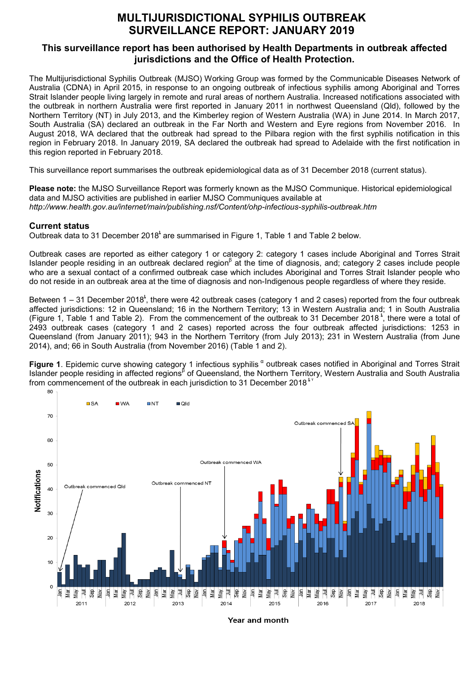# **MULTIJURISDICTIONAL SYPHILIS OUTBREAK SURVEILLANCE REPORT: JANUARY 2019**

## **This surveillance report has been authorised by Health Departments in outbreak affected jurisdictions and the Office of Health Protection.**

The Multijurisdictional Syphilis Outbreak (MJSO) Working Group was formed by the Communicable Diseases Network of Australia (CDNA) in April 2015, in response to an ongoing outbreak of infectious syphilis among Aboriginal and Torres Strait Islander people living largely in remote and rural areas of northern Australia. Increased notifications associated with the outbreak in northern Australia were first reported in January 2011 in northwest Queensland (Qld), followed by the Northern Territory (NT) in July 2013, and the Kimberley region of Western Australia (WA) in June 2014. In March 2017, South Australia (SA) declared an outbreak in the Far North and Western and Eyre regions from November 2016. In August 2018, WA declared that the outbreak had spread to the Pilbara region with the first syphilis notification in this region in February 2018. In January 2019, SA declared the outbreak had spread to Adelaide with the first notification in this region reported in February 2018.

This surveillance report summarises the outbreak epidemiological data as of 31 December 2018 (current status).

**Please note:** the MJSO Surveillance Report was formerly known as the MJSO Communique. Historical epidemiological data and MJSO activities are published in earlier MJSO Communiques available at *http://www.health.gov.au/internet/main/publishing.nsf/Content/ohp-infectious-syphilis-outbreak.htm*

### **Current status**

Outbreak data to 31 December 2018<sup>t</sup> are summarised in Figure 1, Table 1 and Table 2 below.

Outbreak cases are reported as either category 1 or category 2: category 1 cases include Aboriginal and Torres Strait Islander people residing in an outbreak declared region<sup>β</sup> at the time of diagnosis, and; category 2 cases include people who are a sexual contact of a confirmed outbreak case which includes Aboriginal and Torres Strait Islander people who do not reside in an outbreak area at the time of diagnosis and non-Indigenous people regardless of where they reside.

Between 1 – 31 December 2018<sup>t</sup>, there were 42 outbreak cases (category 1 and 2 cases) reported from the four outbreak affected jurisdictions: 12 in Queensland; 16 in the Northern Territory; 13 in Western Australia and; 1 in South Australia (Figure 1, Table 1 and Table 2). From the commencement of the outbreak to 31 December 2018<sup>t</sup>, there were a total of 2493 outbreak cases (category 1 and 2 cases) reported across the four outbreak affected jurisdictions: 1253 in Queensland (from January 2011); 943 in the Northern Territory (from July 2013); 231 in Western Australia (from June 2014), and; 66 in South Australia (from November 2016) (Table 1 and 2).

**Figure 1**. Epidemic curve showing category 1 infectious syphilis " outbreak cases notified in Aboriginal and Torres Strait Islander people residing in affected regions<sup>β</sup> of Queensland, the Northern Territory, Western Australia and South Australia from commencement of the outbreak in each jurisdiction to 31 December 2018<sup> $^{\star}$ </sup>



Year and month